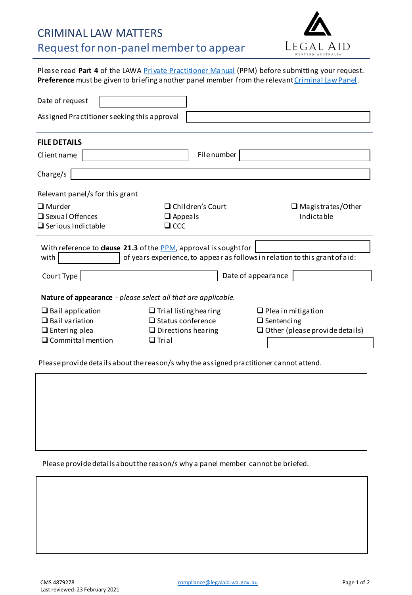## CRIMINAL LAW MATTERS Request for non-panel member to appear



Please read Part 4 of the LAWA Private [Practitioner](https://www.legalaid.wa.gov.au/lawyers/practitioner-standards-and-compliance) Manual (PPM) before submitting your request. Preference must be given to briefing another panel member from the relevant Criminal [Law Panel.](https://www.legalaid.wa.gov.au/lawyers/practitioner-panels-and-lists/criminal-matter-panels)

| Date of request                                                                     |                              |                                       |
|-------------------------------------------------------------------------------------|------------------------------|---------------------------------------|
| Assigned Practitioner seeking this approval                                         |                              |                                       |
| <b>FILE DETAILS</b>                                                                 |                              |                                       |
| Client name                                                                         | <b>File</b> number           |                                       |
| Charge/s                                                                            |                              |                                       |
| Relevant panel/s for this grant                                                     |                              |                                       |
| $\square$ Murder                                                                    | $\Box$ Children's Court      | $\Box$ Magistrates/Other              |
| $\Box$ Sexual Offences                                                              | $\Box$ Appeals               | Indictable                            |
| $\Box$ Serious Indictable                                                           | $\Box$ CCC                   |                                       |
| With reference to clause 21.3 of the PPM, approval is sought for                    |                              |                                       |
| of years experience, to appear as follows in relation to this grant of aid:<br>with |                              |                                       |
| Court Type                                                                          |                              | Date of appearance                    |
| <b>Nature of appearance</b> - please select all that are applicable.                |                              |                                       |
| $\Box$ Bail application                                                             | $\Box$ Trial listing hearing | $\Box$ Plea in mitigation             |
| $\Box$ Bail variation                                                               | $\Box$ Status conference     | $\Box$ Sentencing                     |
| $\Box$ Entering plea                                                                | $\Box$ Directions hearing    | $\Box$ Other (please provide details) |
| $\square$ Committal mention                                                         | $\Box$ Trial                 |                                       |
|                                                                                     |                              |                                       |

Please provide details about the reason/s why the assigned practitioner cannot attend.

Please provide details about the reason/s why a panel member cannot be briefed.